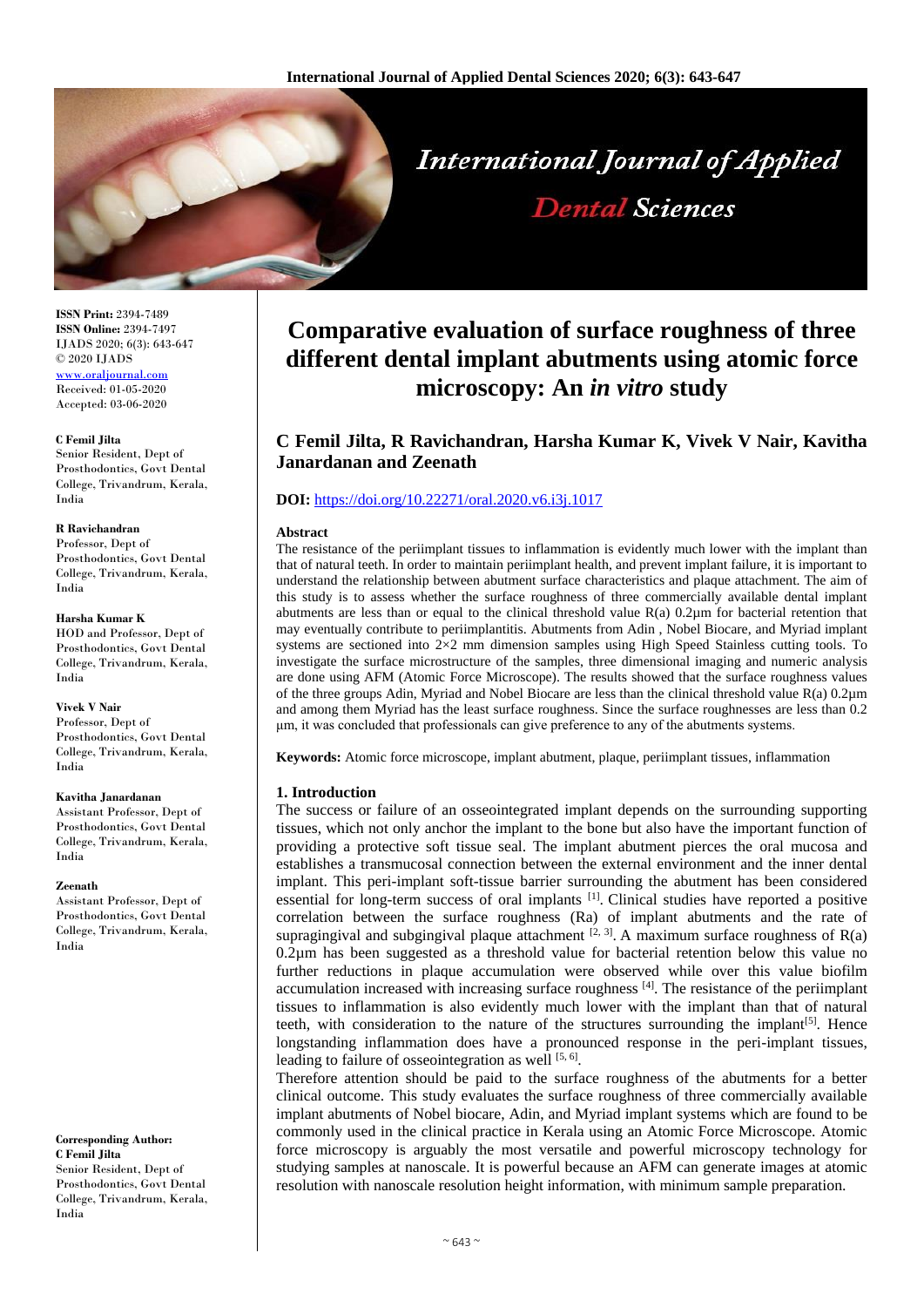

**ISSN Print:** 2394-7489 **ISSN Online:** 2394-7497 IJADS 2020; 6(3): 643-647 © 2020 IJADS <www.oraljournal.com> Received: 01-05-2020 Accepted: 03-06-2020

#### **C Femil Jilta**

Senior Resident, Dept of Prosthodontics, Govt Dental College, Trivandrum, Kerala, India

#### **R Ravichandran**

Professor, Dept of Prosthodontics, Govt Dental College, Trivandrum, Kerala, India

#### **Harsha Kumar K**

HOD and Professor, Dept of Prosthodontics, Govt Dental College, Trivandrum, Kerala, India

## **Vivek V Nair** Professor, Dept of

Prosthodontics, Govt Dental College, Trivandrum, Kerala, India

#### **Kavitha Janardanan**

Assistant Professor, Dept of Prosthodontics, Govt Dental College, Trivandrum, Kerala, India

#### **Zeenath**

Assistant Professor, Dept of Prosthodontics, Govt Dental College, Trivandrum, Kerala, India

**Corresponding Author: C Femil Jilta** Senior Resident, Dept of

Prosthodontics, Govt Dental College, Trivandrum, Kerala, India

# **Comparative evaluation of surface roughness of three different dental implant abutments using atomic force microscopy: An** *in vitro* **study**

**Dental Sciences** 

# **C Femil Jilta, R Ravichandran, Harsha Kumar K, Vivek V Nair, Kavitha Janardanan and Zeenath**

# **DOI:** <https://doi.org/10.22271/oral.2020.v6.i3j.1017>

#### **Abstract**

The resistance of the periimplant tissues to inflammation is evidently much lower with the implant than that of natural teeth. In order to maintain periimplant health, and prevent implant failure, it is important to understand the relationship between abutment surface characteristics and plaque attachment. The aim of this study is to assess whether the surface roughness of three commercially available dental implant abutments are less than or equal to the clinical threshold value  $R(a)$  0.2 $\mu$ m for bacterial retention that may eventually contribute to periimplantitis. Abutments from Adin , Nobel Biocare, and Myriad implant systems are sectioned into 2×2 mm dimension samples using High Speed Stainless cutting tools. To investigate the surface microstructure of the samples, three dimensional imaging and numeric analysis are done using AFM (Atomic Force Microscope). The results showed that the surface roughness values of the three groups Adin, Myriad and Nobel Biocare are less than the clinical threshold value R(a) 0.2µm and among them Myriad has the least surface roughness. Since the surface roughnesses are less than 0.2 μm, it was concluded that professionals can give preference to any of the abutments systems.

**Keywords:** Atomic force microscope, implant abutment, plaque, periimplant tissues, inflammation

## **1. Introduction**

The success or failure of an osseointegrated implant depends on the surrounding supporting tissues, which not only anchor the implant to the bone but also have the important function of providing a protective soft tissue seal. The implant abutment pierces the oral mucosa and establishes a transmucosal connection between the external environment and the inner dental implant. This peri-implant soft-tissue barrier surrounding the abutment has been considered essential for long-term success of oral implants <sup>[1]</sup>. Clinical studies have reported a positive correlation between the surface roughness (Ra) of implant abutments and the rate of supragingival and subgingival plaque attachment  $[2, 3]$ . A maximum surface roughness of R(a) 0.2µm has been suggested as a threshold value for bacterial retention below this value no further reductions in plaque accumulation were observed while over this value biofilm accumulation increased with increasing surface roughness  $[4]$ . The resistance of the periimplant tissues to inflammation is also evidently much lower with the implant than that of natural teeth, with consideration to the nature of the structures surrounding the implant<sup>[5]</sup>. Hence longstanding inflammation does have a pronounced response in the peri-implant tissues, leading to failure of osseointegration as well [5, 6].

Therefore attention should be paid to the surface roughness of the abutments for a better clinical outcome. This study evaluates the surface roughness of three commercially available implant abutments of Nobel biocare, Adin, and Myriad implant systems which are found to be commonly used in the clinical practice in Kerala using an Atomic Force Microscope. Atomic force microscopy is arguably the most versatile and powerful microscopy technology for studying samples at nanoscale. It is powerful because an AFM can generate images at atomic resolution with nanoscale resolution height information, with minimum sample preparation.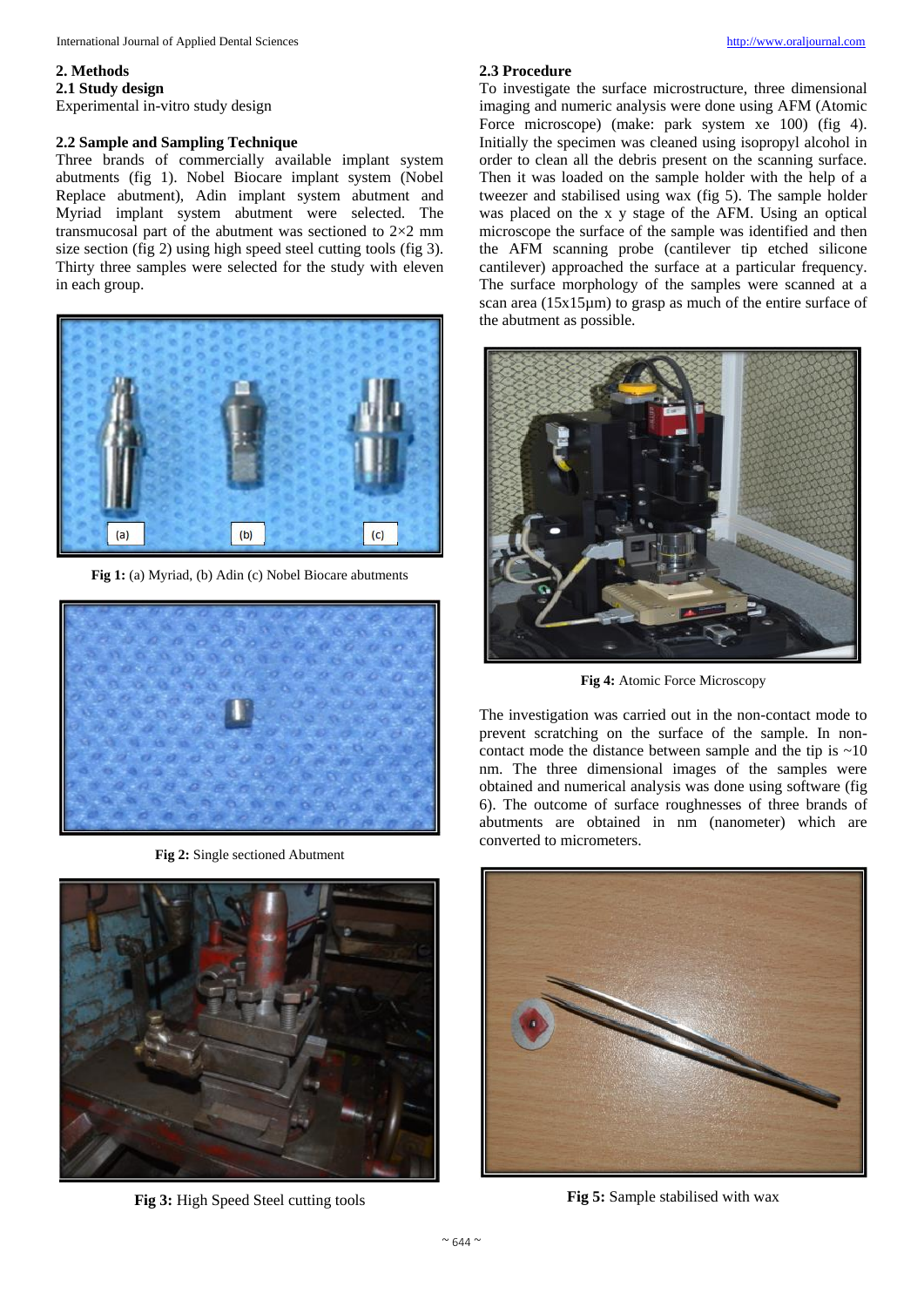# **2. Methods**

**2.1 Study design**

Experimental in-vitro study design

#### **2.2 Sample and Sampling Technique**

Three brands of commercially available implant system abutments (fig 1). Nobel Biocare implant system (Nobel Replace abutment), Adin implant system abutment and Myriad implant system abutment were selected. The transmucosal part of the abutment was sectioned to 2×2 mm size section (fig 2) using high speed steel cutting tools (fig 3). Thirty three samples were selected for the study with eleven in each group.



**Fig 1:** (a) Myriad, (b) Adin (c) Nobel Biocare abutments



**Fig 2:** Single sectioned Abutment



**Fig 3:** High Speed Steel cutting tools

#### **2.3 Procedure**

To investigate the surface microstructure, three dimensional imaging and numeric analysis were done using AFM (Atomic Force microscope) (make: park system xe 100) (fig 4). Initially the specimen was cleaned using isopropyl alcohol in order to clean all the debris present on the scanning surface. Then it was loaded on the sample holder with the help of a tweezer and stabilised using wax (fig 5). The sample holder was placed on the x y stage of the AFM. Using an optical microscope the surface of the sample was identified and then the AFM scanning probe (cantilever tip etched silicone cantilever) approached the surface at a particular frequency. The surface morphology of the samples were scanned at a scan area (15x15µm) to grasp as much of the entire surface of the abutment as possible.



**Fig 4:** Atomic Force Microscopy

The investigation was carried out in the non-contact mode to prevent scratching on the surface of the sample. In noncontact mode the distance between sample and the tip is  $\sim 10$ nm. The three dimensional images of the samples were obtained and numerical analysis was done using software (fig 6). The outcome of surface roughnesses of three brands of abutments are obtained in nm (nanometer) which are converted to micrometers.



**Fig 5:** Sample stabilised with wax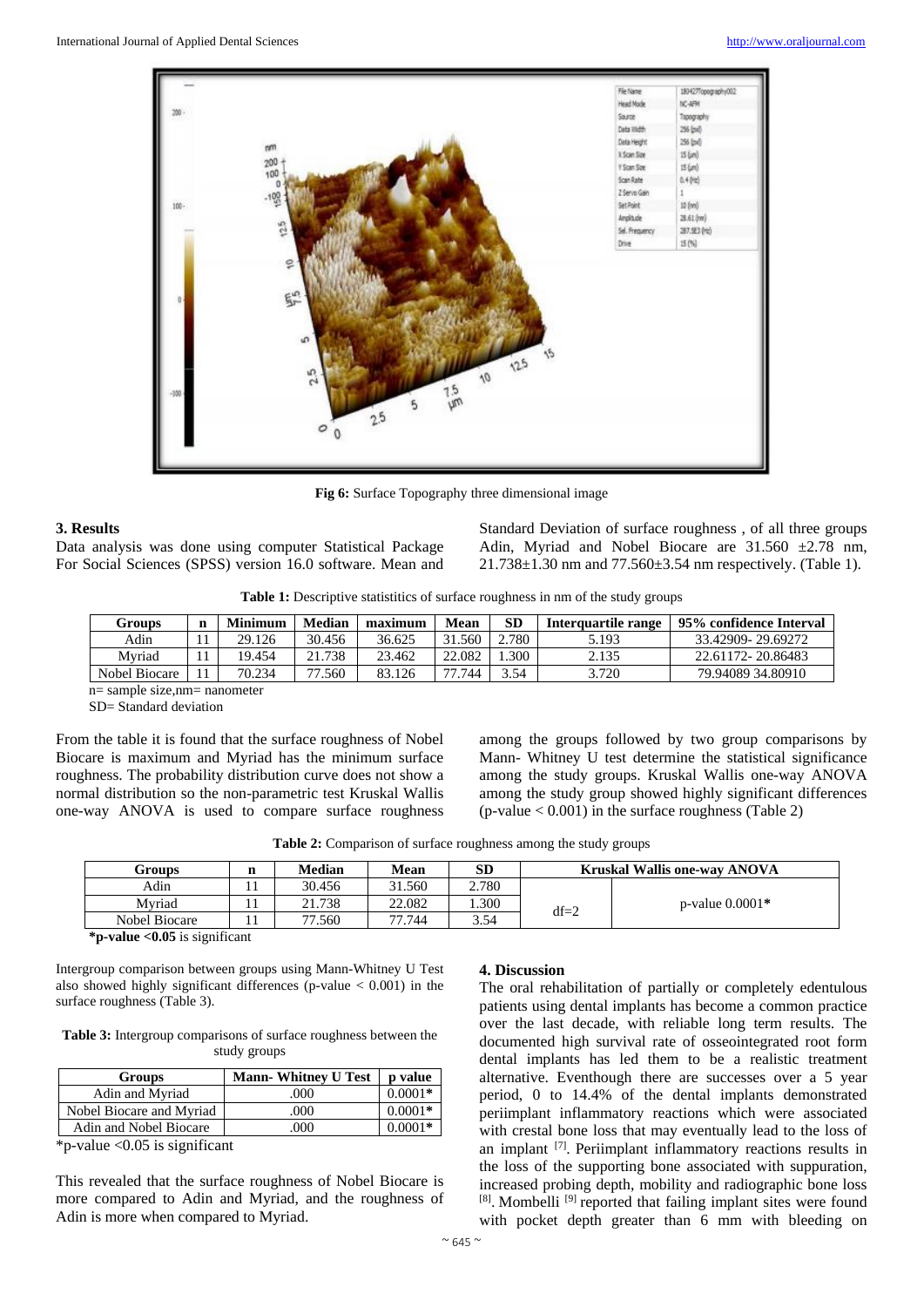

**Fig 6:** Surface Topography three dimensional image

## **3. Results**

Data analysis was done using computer Statistical Package For Social Sciences (SPSS) version 16.0 software. Mean and Standard Deviation of surface roughness , of all three groups Adin, Myriad and Nobel Biocare are  $31.560 \pm 2.78$  nm, 21.738±1.30 nm and 77.560±3.54 nm respectively. (Table 1).

**Table 1:** Descriptive statistitics of surface roughness in nm of the study groups

| Groups        | n | <b>Minimum</b> | Median      | maximum | <b>Mean</b> | <b>SD</b> | Interquartile range | 95% confidence Interval |
|---------------|---|----------------|-------------|---------|-------------|-----------|---------------------|-------------------------|
| Adin          |   | 29.126         | 30.456      | 36.625  | .560        | 2.780     | 5.193               | 33.42909-29.69272       |
| Mvriad        |   | 19.454         | .738<br>21. | 23.462  | 22.082      | .300      | 2.135               | 22.61172-20.86483       |
| Nobel Biocare |   | 70.234         | די<br>.560  | 83.126  | 744         | 3.54      | 3.720               | 79.94089 34.80910       |
|               |   |                |             |         |             |           |                     |                         |

n= sample size,nm= nanometer

SD= Standard deviation

From the table it is found that the surface roughness of Nobel Biocare is maximum and Myriad has the minimum surface roughness. The probability distribution curve does not show a normal distribution so the non-parametric test Kruskal Wallis one-way ANOVA is used to compare surface roughness

among the groups followed by two group comparisons by Mann- Whitney U test determine the statistical significance among the study groups. Kruskal Wallis one-way ANOVA among the study group showed highly significant differences  $(p-value < 0.001)$  in the surface roughness (Table 2)

**Table 2:** Comparison of surface roughness among the study groups

| Groups        | n | Median | Mean   | SD    |        | <b>Kruskal Wallis one-way ANOVA</b> |
|---------------|---|--------|--------|-------|--------|-------------------------------------|
| Adin          |   | 30.456 | 31.560 | 2.780 |        |                                     |
| Myriad        |   | 21.738 | 22.082 | .300  | $df=2$ | $p$ -value $0.0001*$                |
| Nobel Biocare |   | 77.560 | 77.744 | 3.54  |        |                                     |

**\*p-value <0.05** is significant

Intergroup comparison between groups using Mann-Whitney U Test also showed highly significant differences (p-value  $< 0.001$ ) in the surface roughness (Table 3).

**Table 3:** Intergroup comparisons of surface roughness between the study groups

| <b>Groups</b>            | <b>Mann-Whitney U Test</b> | <b>p</b> value |
|--------------------------|----------------------------|----------------|
| Adin and Myriad          | .000                       | $0.0001*$      |
| Nobel Biocare and Myriad | .000                       | $0.0001*$      |
| Adin and Nobel Biocare   | 000                        | 0 0001*        |

 $*$ p-value < 0.05 is significant

This revealed that the surface roughness of Nobel Biocare is more compared to Adin and Myriad, and the roughness of Adin is more when compared to Myriad.

## **4. Discussion**

The oral rehabilitation of partially or completely edentulous patients using dental implants has become a common practice over the last decade, with reliable long term results. The documented high survival rate of osseointegrated root form dental implants has led them to be a realistic treatment alternative. Eventhough there are successes over a 5 year period, 0 to 14.4% of the dental implants demonstrated periimplant inflammatory reactions which were associated with crestal bone loss that may eventually lead to the loss of an implant <a>[7]</a>. Periimplant inflammatory reactions results in the loss of the supporting bone associated with suppuration, increased probing depth, mobility and radiographic bone loss [8]. Mombelli<sup>[9]</sup> reported that failing implant sites were found with pocket depth greater than 6 mm with bleeding on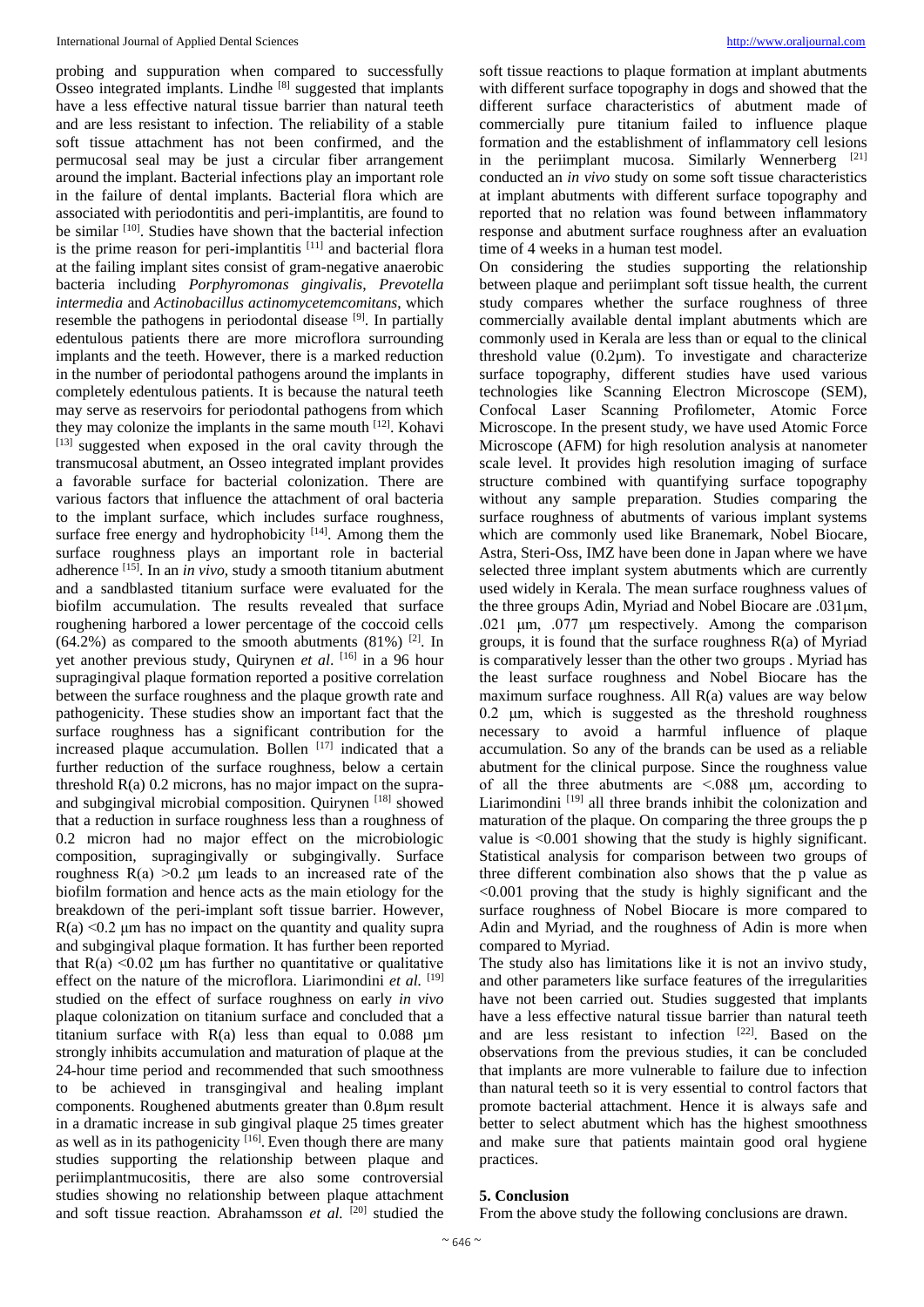probing and suppuration when compared to successfully Osseo integrated implants. Lindhe [8] suggested that implants have a less effective natural tissue barrier than natural teeth and are less resistant to infection. The reliability of a stable soft tissue attachment has not been confirmed, and the permucosal seal may be just a circular fiber arrangement around the implant. Bacterial infections play an important role in the failure of dental implants. Bacterial flora which are associated with periodontitis and peri-implantitis, are found to be similar <sup>[10]</sup>. Studies have shown that the bacterial infection is the prime reason for peri-implantitis [11] and bacterial flora at the failing implant sites consist of gram-negative anaerobic bacteria including *Porphyromonas gingivalis*, *Prevotella intermedia* and *Actinobacillus actinomycetemcomitans*, which resemble the pathogens in periodontal disease [9]. In partially edentulous patients there are more microflora surrounding implants and the teeth. However, there is a marked reduction in the number of periodontal pathogens around the implants in completely edentulous patients. It is because the natural teeth may serve as reservoirs for periodontal pathogens from which they may colonize the implants in the same mouth [12]. Kohavi [13] suggested when exposed in the oral cavity through the transmucosal abutment, an Osseo integrated implant provides a favorable surface for bacterial colonization. There are various factors that influence the attachment of oral bacteria to the implant surface, which includes surface roughness, surface free energy and hydrophobicity [14]. Among them the surface roughness plays an important role in bacterial adherence [15]. In an *in vivo*, study a smooth titanium abutment and a sandblasted titanium surface were evaluated for the biofilm accumulation. The results revealed that surface roughening harbored a lower percentage of the coccoid cells  $(64.2\%)$  as compared to the smooth abutments  $(81\%)$  [2]. In yet another previous study, Quirynen *et al*. [16] in a 96 hour supragingival plaque formation reported a positive correlation between the surface roughness and the plaque growth rate and pathogenicity. These studies show an important fact that the surface roughness has a significant contribution for the increased plaque accumulation. Bollen  $[17]$  indicated that a further reduction of the surface roughness, below a certain threshold R(a) 0.2 microns, has no major impact on the supraand subgingival microbial composition. Quirynen [18] showed that a reduction in surface roughness less than a roughness of 0.2 micron had no major effect on the microbiologic composition, supragingivally or subgingivally. Surface roughness  $R(a) > 0.2$  μm leads to an increased rate of the biofilm formation and hence acts as the main etiology for the breakdown of the peri-implant soft tissue barrier. However,  $R(a) \leq 0.2$  um has no impact on the quantity and quality supra and subgingival plaque formation. It has further been reported that  $R(a)$  <0.02 um has further no quantitative or qualitative effect on the nature of the microflora. Liarimondini *et al.* [19] studied on the effect of surface roughness on early *in vivo* plaque colonization on titanium surface and concluded that a titanium surface with  $R(a)$  less than equal to 0.088  $\mu$ m strongly inhibits accumulation and maturation of plaque at the 24-hour time period and recommended that such smoothness to be achieved in transgingival and healing implant components. Roughened abutments greater than 0.8µm result in a dramatic increase in sub gingival plaque 25 times greater as well as in its pathogenicity [16]. Even though there are many studies supporting the relationship between plaque and periimplantmucositis, there are also some controversial studies showing no relationship between plaque attachment and soft tissue reaction. Abrahamsson *et al.* [20] studied the

soft tissue reactions to plaque formation at implant abutments with different surface topography in dogs and showed that the different surface characteristics of abutment made of commercially pure titanium failed to influence plaque formation and the establishment of inflammatory cell lesions in the periimplant mucosa. Similarly Wennerberg [21] conducted an *in vivo* study on some soft tissue characteristics at implant abutments with different surface topography and reported that no relation was found between inflammatory response and abutment surface roughness after an evaluation time of 4 weeks in a human test model.

On considering the studies supporting the relationship between plaque and periimplant soft tissue health, the current study compares whether the surface roughness of three commercially available dental implant abutments which are commonly used in Kerala are less than or equal to the clinical threshold value (0.2µm). To investigate and characterize surface topography, different studies have used various technologies like Scanning Electron Microscope (SEM), Confocal Laser Scanning Profilometer, Atomic Force Microscope. In the present study, we have used Atomic Force Microscope (AFM) for high resolution analysis at nanometer scale level. It provides high resolution imaging of surface structure combined with quantifying surface topography without any sample preparation. Studies comparing the surface roughness of abutments of various implant systems which are commonly used like Branemark, Nobel Biocare, Astra, Steri-Oss, IMZ have been done in Japan where we have selected three implant system abutments which are currently used widely in Kerala. The mean surface roughness values of the three groups Adin, Myriad and Nobel Biocare are .031μm, .021 μm, .077 μm respectively. Among the comparison groups, it is found that the surface roughness R(a) of Myriad is comparatively lesser than the other two groups . Myriad has the least surface roughness and Nobel Biocare has the maximum surface roughness. All R(a) values are way below 0.2 μm, which is suggested as the threshold roughness necessary to avoid a harmful influence of plaque accumulation. So any of the brands can be used as a reliable abutment for the clinical purpose. Since the roughness value of all the three abutments are <.088 μm, according to Liarimondini<sup>[19]</sup> all three brands inhibit the colonization and maturation of the plaque. On comparing the three groups the p value is <0.001 showing that the study is highly significant. Statistical analysis for comparison between two groups of three different combination also shows that the p value as <0.001 proving that the study is highly significant and the surface roughness of Nobel Biocare is more compared to Adin and Myriad, and the roughness of Adin is more when compared to Myriad.

The study also has limitations like it is not an invivo study, and other parameters like surface features of the irregularities have not been carried out. Studies suggested that implants have a less effective natural tissue barrier than natural teeth and are less resistant to infection [22] . Based on the observations from the previous studies, it can be concluded that implants are more vulnerable to failure due to infection than natural teeth so it is very essential to control factors that promote bacterial attachment. Hence it is always safe and better to select abutment which has the highest smoothness and make sure that patients maintain good oral hygiene practices.

# **5. Conclusion**

From the above study the following conclusions are drawn.